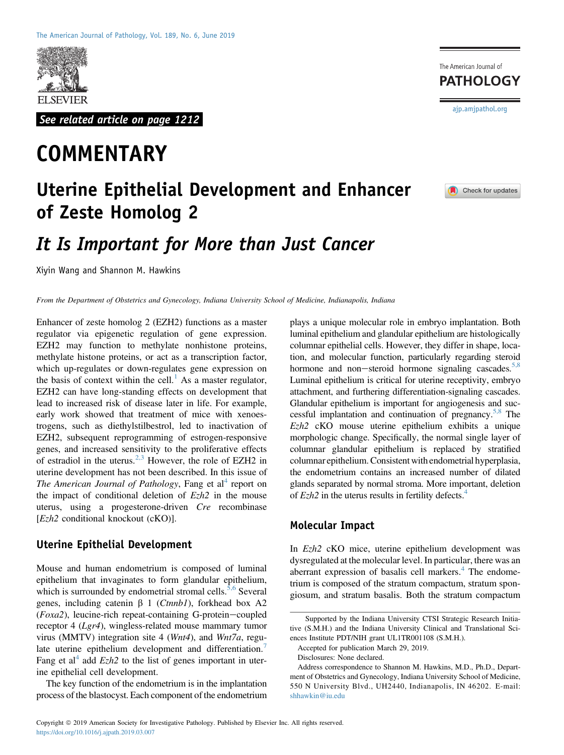

See related article on page 1212

# **COMMENTARY**

### The American Journal of **PATHOLOGY** [ajp.amjpathol.org](http://ajp.amjpathol.org)



## Uterine Epithelial Development and Enhancer of Zeste Homolog 2

### It Is Important for More than Just Cancer

Xiyin Wang and Shannon M. Hawkins

From the Department of Obstetrics and Gynecology, Indiana University School of Medicine, Indianapolis, Indiana

Enhancer of zeste homolog 2 (EZH2) functions as a master regulator via epigenetic regulation of gene expression. EZH2 may function to methylate nonhistone proteins, methylate histone proteins, or act as a transcription factor, which up-regulates or down-regulates gene expression on the basis of context within the cell. $\frac{1}{1}$  $\frac{1}{1}$  $\frac{1}{1}$  As a master regulator, EZH2 can have long-standing effects on development that lead to increased risk of disease later in life. For example, early work showed that treatment of mice with xenoestrogens, such as diethylstilbestrol, led to inactivation of EZH2, subsequent reprogramming of estrogen-responsive genes, and increased sensitivity to the proliferative effects of estradiol in the uterus.<sup>[2,3](#page-1-1)</sup> However, the role of EZH2 in uterine development has not been described. In this issue of The American Journal of Pathology, Fang et al<sup>[4](#page-1-2)</sup> report on the impact of conditional deletion of  $Ezh2$  in the mouse uterus, using a progesterone-driven Cre recombinase  $[Ezh2$  conditional knockout  $(cKO)$ ].

#### Uterine Epithelial Development

Mouse and human endometrium is composed of luminal epithelium that invaginates to form glandular epithelium, which is surrounded by endometrial stromal cells.<sup>[5,6](#page-1-3)</sup> Several genes, including catenin  $\beta$  1 (*Ctnnb1*), forkhead box A2 ( $Foxa2$ ), leucine-rich repeat-containing G-protein-coupled receptor 4 (Lgr4), wingless-related mouse mammary tumor virus (MMTV) integration site 4 (Wnt4), and Wnt7a, regulate uterine epithelium development and differentiation. Fang et al<sup>[4](#page-1-2)</sup> add  $Ezh2$  to the list of genes important in uterine epithelial cell development.

The key function of the endometrium is in the implantation process of the blastocyst. Each component of the endometrium plays a unique molecular role in embryo implantation. Both luminal epithelium and glandular epithelium are histologically columnar epithelial cells. However, they differ in shape, location, and molecular function, particularly regarding steroid hormone and non-steroid hormone signaling cascades.<sup>[5,8](#page-1-3)</sup> Luminal epithelium is critical for uterine receptivity, embryo attachment, and furthering differentiation-signaling cascades. Glandular epithelium is important for angiogenesis and successful implantation and continuation of pregnancy.<sup>5,8</sup> The Ezh2 cKO mouse uterine epithelium exhibits a unique morphologic change. Specifically, the normal single layer of columnar glandular epithelium is replaced by stratified columnar epithelium. Consistent with endometrial hyperplasia, the endometrium contains an increased number of dilated glands separated by normal stroma. More important, deletion of  $Ezh2$  in the uterus results in fertility defects.<sup>4</sup>

#### Molecular Impact

In Ezh2 cKO mice, uterine epithelium development was dysregulated at the molecular level. In particular, there was an aberrant expression of basalis cell markers. $4$  The endometrium is composed of the stratum compactum, stratum spongiosum, and stratum basalis. Both the stratum compactum

Accepted for publication March 29, 2019.

Supported by the Indiana University CTSI Strategic Research Initiative (S.M.H.) and the Indiana University Clinical and Translational Sciences Institute PDT/NIH grant UL1TR001108 (S.M.H.).

Disclosures: None declared.

Address correspondence to Shannon M. Hawkins, M.D., Ph.D., Department of Obstetrics and Gynecology, Indiana University School of Medicine, 550 N University Blvd., UH2440, Indianapolis, IN 46202. E-mail: [shhawkin@iu.edu](mailto:shhawkin@iu.edu)